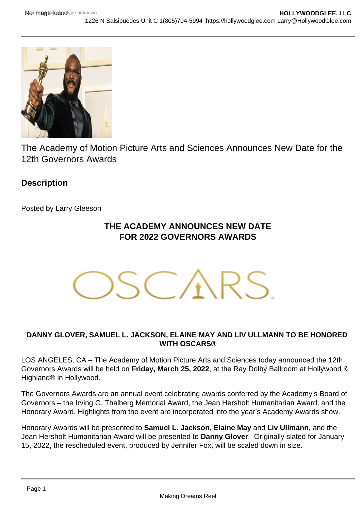The Academy of Motion Picture Arts and Sciences Announces New Date for the 12th Governors Awards

**Description** 

Posted by Larry Gleeson

## THE ACADEMY ANNOUNCES NEW DATE FOR 2022 GOVERNORS AWARDS

## DANNY GLOVER, SAMUEL L. JACKSON, ELAINE MAY AND LIV ULLMANN TO BE HONORED WITH OSCARS®

LOS ANGELES, CA – The Academy of Motion Picture Arts and Sciences today announced the 12th Governors Awards will be held on Friday, March 25, 2022 , at the Ray Dolby Ballroom at Hollywood & Highland® in Hollywood.

The Governors Awards are an annual event celebrating awards conferred by the Academy's Board of Governors – the Irving G. Thalberg Memorial Award, the Jean Hersholt Humanitarian Award, and the Honorary Award. Highlights from the event are incorporated into the year's Academy Awards show.

Honorary Awards will be presented to Samuel L. Jackson , Elaine May and Liv Ullmann , and the Jean Hersholt Humanitarian Award will be presented to Danny Glover . Originally slated for January 15, 2022, the rescheduled event, produced by Jennifer Fox, will be scaled down in size.